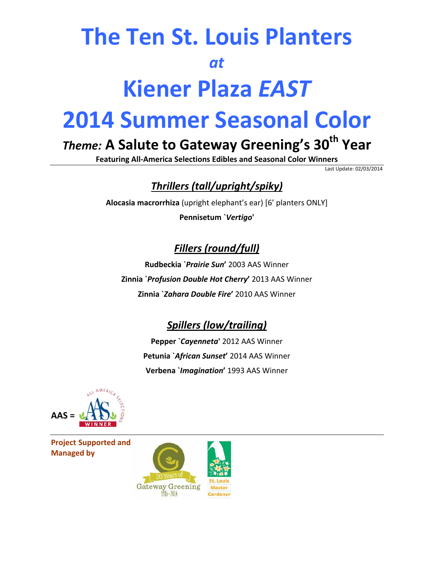# **The Ten St. Louis Planters** *at* **Kiener Plaza** *EAST* **2014 Summer Seasonal Color**

## *Theme:* **A Salute to Gateway Greening's 30<sup>th</sup> Year**

**Featuring All‐America Selections Edibles and Seasonal Color Winners**

Last Update: 02/03/2014

#### *Thrillers (tall/upright/spiky)*

**Alocasia macrorrhiza** (upright elephant's ear) [6' planters ONLY]

**Pennisetum `***Vertigo***'**

### *Fillers (round/full)*

**Rudbeckia `***Prairie Sun***'** 2003 AAS Winner **Zinnia `***Profusion Double Hot Cherry***'** 2013 AAS Winner **Zinnia `***Zahara Double Fire***'** 2010 AAS Winner

#### *Spillers (low/trailing)*

**Pepper `***Cayenneta***'** 2012 AAS Winner **Petunia `***African Sunset***'** 2014 AAS Winner **Verbena `***Imagination***'** 1993 AAS Winner



**Project Supported and Managed by** 

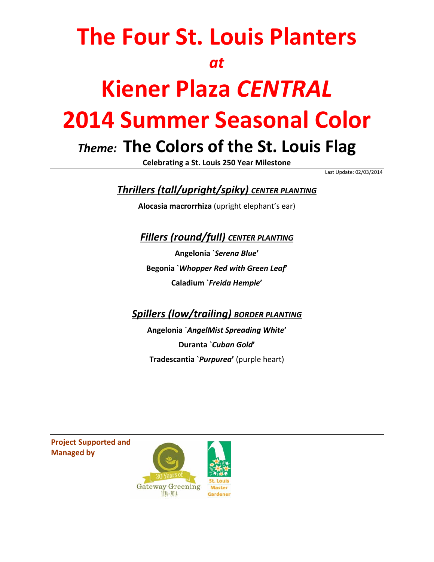# **The Four St. Louis Planters** *at* **Kiener Plaza** *CENTRAL* **2014 Summer Seasonal Color**

## *Theme:* **The Colors of the St. Louis Flag**

**Celebrating a St. Louis 250 Year Milestone**

Last Update: 02/03/2014

### *Thrillers (tall/upright/spiky) CENTER PLANTING*

**Alocasia macrorrhiza** (upright elephant's ear)

*Fillers (round/full) CENTER PLANTING*

**Angelonia `***Serena Blue***' Begonia `***Whopper Red with Green Leaf***' Caladium `***Freida Hemple***'**

*Spillers (low/trailing) BORDER PLANTING*

**Angelonia `***AngelMist Spreading White***' Duranta `***Cuban Gold***' Tradescantia `***Purpurea***'** (purple heart)

**Project Supported and Managed by**